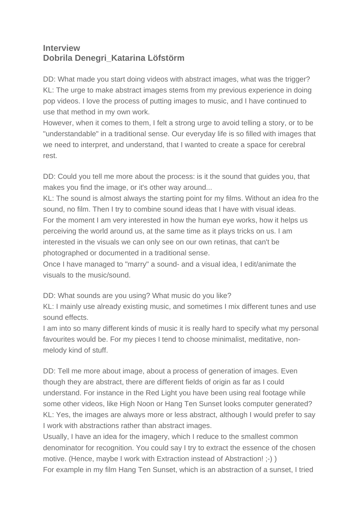## **Interview Dobrila Denegri\_Katarina Löfstörm**

DD: What made you start doing videos with abstract images, what was the trigger? KL: The urge to make abstract images stems from my previous experience in doing pop videos. I love the process of putting images to music, and I have continued to use that method in my own work.

However, when it comes to them, I felt a strong urge to avoid telling a story, or to be "understandable" in a traditional sense. Our everyday life is so filled with images that we need to interpret, and understand, that I wanted to create a space for cerebral rest.

DD: Could you tell me more about the process: is it the sound that guides you, that makes you find the image, or it's other way around...

KL: The sound is almost always the starting point for my films. Without an idea fro the sound, no film. Then I try to combine sound ideas that I have with visual ideas. For the moment I am very interested in how the human eye works, how it helps us perceiving the world around us, at the same time as it plays tricks on us. I am interested in the visuals we can only see on our own retinas, that can't be photographed or documented in a traditional sense.

Once I have managed to "marry" a sound- and a visual idea, I edit/animate the visuals to the music/sound.

DD: What sounds are you using? What music do you like?

KL: I mainly use already existing music, and sometimes I mix different tunes and use sound effects.

I am into so many different kinds of music it is really hard to specify what my personal favourites would be. For my pieces I tend to choose minimalist, meditative, nonmelody kind of stuff.

DD: Tell me more about image, about a process of generation of images. Even though they are abstract, there are different fields of origin as far as I could understand. For instance in the Red Light you have been using real footage while some other videos, like High Noon or Hang Ten Sunset looks computer generated? KL: Yes, the images are always more or less abstract, although I would prefer to say I work with abstractions rather than abstract images.

Usually, I have an idea for the imagery, which I reduce to the smallest common denominator for recognition. You could say I try to extract the essence of the chosen motive. (Hence, maybe I work with Extraction instead of Abstraction! ;-) ) For example in my film Hang Ten Sunset, which is an abstraction of a sunset, I tried